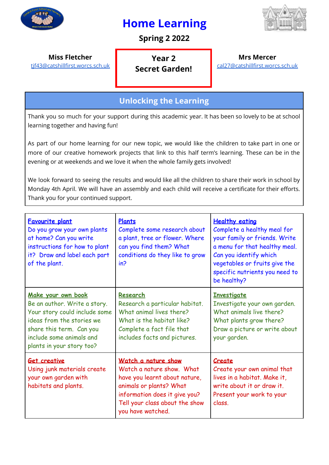

# **Home Learning**



## **Spring 2 2022**

**Miss Fletcher**

[tjf43@catshillfirst.worcs.sch.uk](mailto:tjf43@catshillfirst.worcs.sch.uk)

**Year 2 Secret Garden!**

**Mrs Mercer** [cal27@catshillfirst.worcs.sch.uk](mailto:cal27@catshillfirst.worcs.sch.uk)

# **Unlocking the Learning**

Thank you so much for your support during this academic year. It has been so lovely to be at school learning together and having fun!

As part of our home learning for our new topic, we would like the children to take part in one or more of our creative homework projects that link to this half term's learning. These can be in the evening or at weekends and we love it when the whole family gets involved!

We look forward to seeing the results and would like all the children to share their work in school by Monday 4th April. We will have an assembly and each child will receive a certificate for their efforts. Thank you for your continued support.

| <b>Favourite plant</b><br>Do you grow your own plants<br>at home? Can you write<br>instructions for how to plant<br>it? Draw and label each part<br>of the plant.                                     | Plants<br>Complete some research about<br>a plant, tree or flower. Where<br>can you find them? What<br>conditions do they like to grow<br>in?                                                        | <b>Healthy eating</b><br>Complete a healthy meal for<br>your family or friends. Write<br>a menu for that healthy meal.<br>Can you identify which<br>vegetables or fruits give the<br>specific nutrients you need to<br>be healthy? |
|-------------------------------------------------------------------------------------------------------------------------------------------------------------------------------------------------------|------------------------------------------------------------------------------------------------------------------------------------------------------------------------------------------------------|------------------------------------------------------------------------------------------------------------------------------------------------------------------------------------------------------------------------------------|
| Make your own book<br>Be an author. Write a story.<br>Your story could include some<br>ideas from the stories we<br>share this term. Can you<br>include some animals and<br>plants in your story too? | Research<br>Research a particular habitat.<br>What animal lives there?<br>What is the habitat like?<br>Complete a fact file that<br>includes facts and pictures.                                     | <b>Investigate</b><br>Investigate your own garden.<br>What animals live there?<br>What plants grow there?<br>Draw a picture or write about<br>your garden.                                                                         |
| <b>Get creative</b><br>Using junk materials create<br>your own garden with<br>habitats and plants.                                                                                                    | Watch a nature show<br>Watch a nature show. What<br>have you learnt about nature,<br>animals or plants? What<br>information does it give you?<br>Tell your class about the show<br>you have watched. | Create<br>Create your own animal that<br>lives in a habitat. Make it,<br>write about it or draw it.<br>Present your work to your<br>class.                                                                                         |